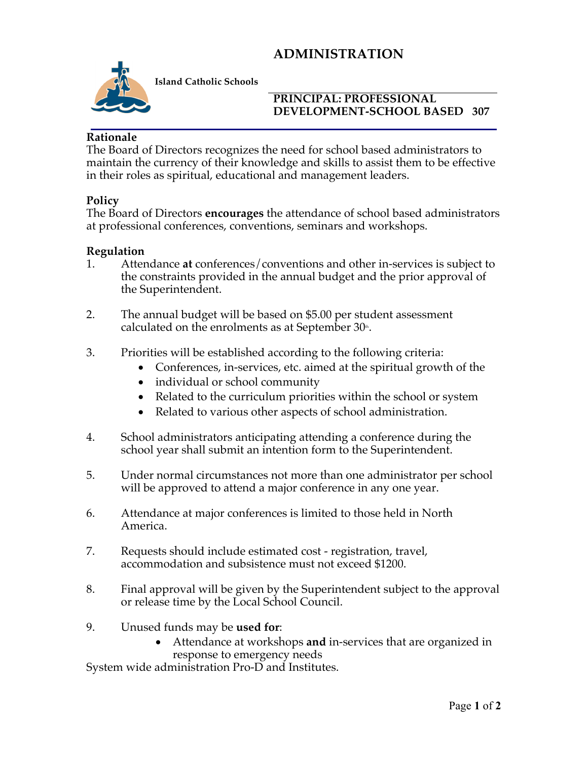# **ADMINISTRATION**



**Island Catholic Schools** 

#### **PRINCIPAL: PROFESSIONAL DEVELOPMENT-SCHOOL BASED 307**

#### **Rationale**

The Board of Directors recognizes the need for school based administrators to maintain the currency of their knowledge and skills to assist them to be effective in their roles as spiritual, educational and management leaders.

#### **Policy**

The Board of Directors **encourages** the attendance of school based administrators at professional conferences, conventions, seminars and workshops.

### **Regulation**

- 1. Attendance **at** conferences/conventions and other in-services is subject to the constraints provided in the annual budget and the prior approval of the Superintendent.
- 2. The annual budget will be based on \$5.00 per student assessment calculated on the enrolments as at September  $30<sup>th</sup>$ .
- 3. Priorities will be established according to the following criteria:
	- Conferences, in-services, etc. aimed at the spiritual growth of the
	- individual or school community
	- Related to the curriculum priorities within the school or system
	- Related to various other aspects of school administration.
- 4. School administrators anticipating attending a conference during the school year shall submit an intention form to the Superintendent.
- 5. Under normal circumstances not more than one administrator per school will be approved to attend a major conference in any one year.
- 6. Attendance at major conferences is limited to those held in North America.
- 7. Requests should include estimated cost registration, travel, accommodation and subsistence must not exceed \$1200.
- 8. Final approval will be given by the Superintendent subject to the approval or release time by the Local School Council.
- 9. Unused funds may be **used for**:
	- Attendance at workshops **and** in-services that are organized in response to emergency needs

System wide administration Pro-D and Institutes.